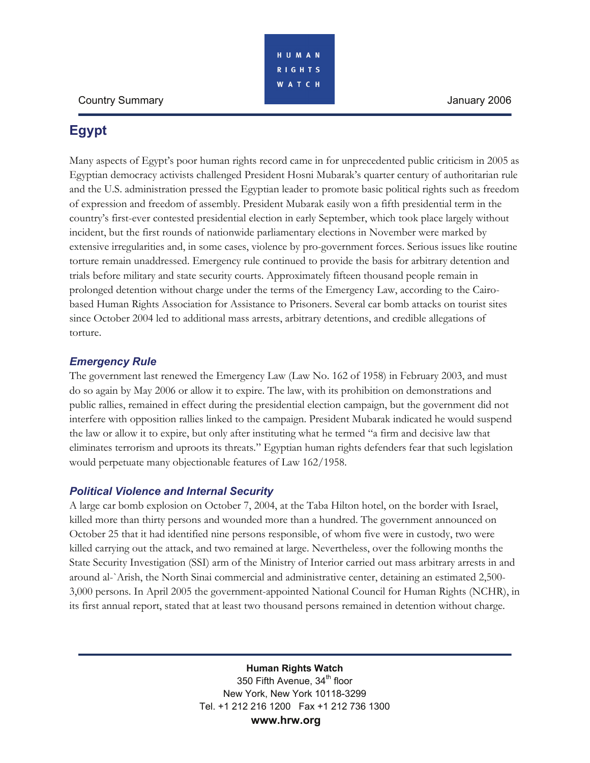**HUMAN RIGHTS WATCH** 

#### Country Summary January 2006

# **Egypt**

Many aspects of Egypt's poor human rights record came in for unprecedented public criticism in 2005 as Egyptian democracy activists challenged President Hosni Mubarak's quarter century of authoritarian rule and the U.S. administration pressed the Egyptian leader to promote basic political rights such as freedom of expression and freedom of assembly. President Mubarak easily won a fifth presidential term in the country's first-ever contested presidential election in early September, which took place largely without incident, but the first rounds of nationwide parliamentary elections in November were marked by extensive irregularities and, in some cases, violence by pro-government forces. Serious issues like routine torture remain unaddressed. Emergency rule continued to provide the basis for arbitrary detention and trials before military and state security courts. Approximately fifteen thousand people remain in prolonged detention without charge under the terms of the Emergency Law, according to the Cairobased Human Rights Association for Assistance to Prisoners. Several car bomb attacks on tourist sites since October 2004 led to additional mass arrests, arbitrary detentions, and credible allegations of torture.

#### *Emergency Rule*

The government last renewed the Emergency Law (Law No. 162 of 1958) in February 2003, and must do so again by May 2006 or allow it to expire. The law, with its prohibition on demonstrations and public rallies, remained in effect during the presidential election campaign, but the government did not interfere with opposition rallies linked to the campaign. President Mubarak indicated he would suspend the law or allow it to expire, but only after instituting what he termed "a firm and decisive law that eliminates terrorism and uproots its threats." Egyptian human rights defenders fear that such legislation would perpetuate many objectionable features of Law 162/1958.

#### *Political Violence and Internal Security*

A large car bomb explosion on October 7, 2004, at the Taba Hilton hotel, on the border with Israel, killed more than thirty persons and wounded more than a hundred. The government announced on October 25 that it had identified nine persons responsible, of whom five were in custody, two were killed carrying out the attack, and two remained at large. Nevertheless, over the following months the State Security Investigation (SSI) arm of the Ministry of Interior carried out mass arbitrary arrests in and around al-`Arish, the North Sinai commercial and administrative center, detaining an estimated 2,500- 3,000 persons. In April 2005 the government-appointed National Council for Human Rights (NCHR), in its first annual report, stated that at least two thousand persons remained in detention without charge.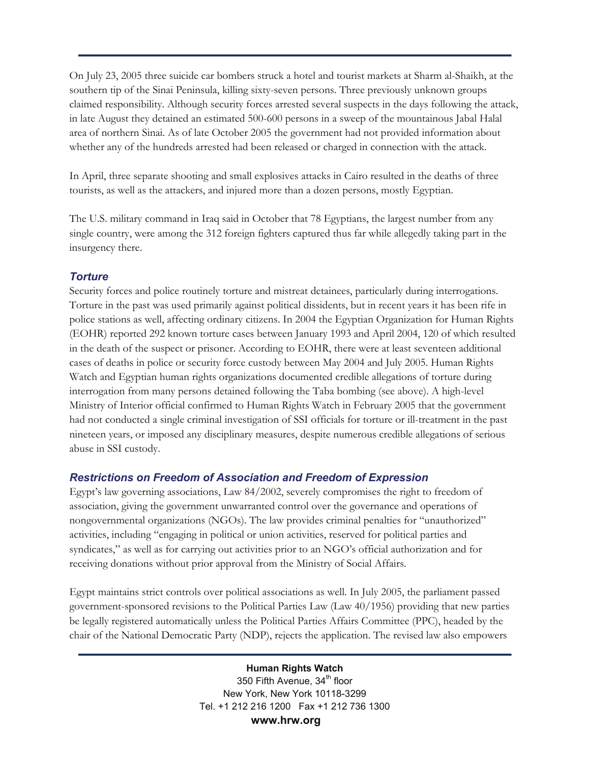On July 23, 2005 three suicide car bombers struck a hotel and tourist markets at Sharm al-Shaikh, at the southern tip of the Sinai Peninsula, killing sixty-seven persons. Three previously unknown groups claimed responsibility. Although security forces arrested several suspects in the days following the attack, in late August they detained an estimated 500-600 persons in a sweep of the mountainous Jabal Halal area of northern Sinai. As of late October 2005 the government had not provided information about whether any of the hundreds arrested had been released or charged in connection with the attack.

In April, three separate shooting and small explosives attacks in Cairo resulted in the deaths of three tourists, as well as the attackers, and injured more than a dozen persons, mostly Egyptian.

The U.S. military command in Iraq said in October that 78 Egyptians, the largest number from any single country, were among the 312 foreign fighters captured thus far while allegedly taking part in the insurgency there.

# *Torture*

Security forces and police routinely torture and mistreat detainees, particularly during interrogations. Torture in the past was used primarily against political dissidents, but in recent years it has been rife in police stations as well, affecting ordinary citizens. In 2004 the Egyptian Organization for Human Rights (EOHR) reported 292 known torture cases between January 1993 and April 2004, 120 of which resulted in the death of the suspect or prisoner. According to EOHR, there were at least seventeen additional cases of deaths in police or security force custody between May 2004 and July 2005. Human Rights Watch and Egyptian human rights organizations documented credible allegations of torture during interrogation from many persons detained following the Taba bombing (see above). A high-level Ministry of Interior official confirmed to Human Rights Watch in February 2005 that the government had not conducted a single criminal investigation of SSI officials for torture or ill-treatment in the past nineteen years, or imposed any disciplinary measures, despite numerous credible allegations of serious abuse in SSI custody.

### *Restrictions on Freedom of Association and Freedom of Expression*

Egypt's law governing associations, Law 84/2002, severely compromises the right to freedom of association, giving the government unwarranted control over the governance and operations of nongovernmental organizations (NGOs). The law provides criminal penalties for "unauthorized" activities, including "engaging in political or union activities, reserved for political parties and syndicates," as well as for carrying out activities prior to an NGO's official authorization and for receiving donations without prior approval from the Ministry of Social Affairs.

Egypt maintains strict controls over political associations as well. In July 2005, the parliament passed government-sponsored revisions to the Political Parties Law (Law 40/1956) providing that new parties be legally registered automatically unless the Political Parties Affairs Committee (PPC), headed by the chair of the National Democratic Party (NDP), rejects the application. The revised law also empowers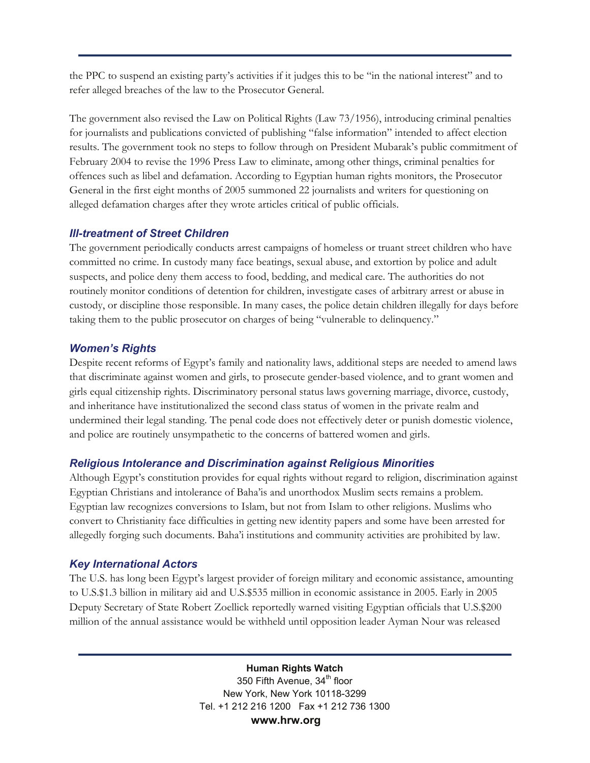the PPC to suspend an existing party's activities if it judges this to be "in the national interest" and to refer alleged breaches of the law to the Prosecutor General.

The government also revised the Law on Political Rights (Law 73/1956), introducing criminal penalties for journalists and publications convicted of publishing "false information" intended to affect election results. The government took no steps to follow through on President Mubarak's public commitment of February 2004 to revise the 1996 Press Law to eliminate, among other things, criminal penalties for offences such as libel and defamation. According to Egyptian human rights monitors, the Prosecutor General in the first eight months of 2005 summoned 22 journalists and writers for questioning on alleged defamation charges after they wrote articles critical of public officials.

### *Ill-treatment of Street Children*

The government periodically conducts arrest campaigns of homeless or truant street children who have committed no crime. In custody many face beatings, sexual abuse, and extortion by police and adult suspects, and police deny them access to food, bedding, and medical care. The authorities do not routinely monitor conditions of detention for children, investigate cases of arbitrary arrest or abuse in custody, or discipline those responsible. In many cases, the police detain children illegally for days before taking them to the public prosecutor on charges of being "vulnerable to delinquency."

# *Women's Rights*

Despite recent reforms of Egypt's family and nationality laws, additional steps are needed to amend laws that discriminate against women and girls, to prosecute gender-based violence, and to grant women and girls equal citizenship rights. Discriminatory personal status laws governing marriage, divorce, custody, and inheritance have institutionalized the second class status of women in the private realm and undermined their legal standing. The penal code does not effectively deter or punish domestic violence, and police are routinely unsympathetic to the concerns of battered women and girls.

# *Religious Intolerance and Discrimination against Religious Minorities*

Although Egypt's constitution provides for equal rights without regard to religion, discrimination against Egyptian Christians and intolerance of Baha'is and unorthodox Muslim sects remains a problem. Egyptian law recognizes conversions to Islam, but not from Islam to other religions. Muslims who convert to Christianity face difficulties in getting new identity papers and some have been arrested for allegedly forging such documents. Baha'i institutions and community activities are prohibited by law.

# *Key International Actors*

The U.S. has long been Egypt's largest provider of foreign military and economic assistance, amounting to U.S.\$1.3 billion in military aid and U.S.\$535 million in economic assistance in 2005. Early in 2005 Deputy Secretary of State Robert Zoellick reportedly warned visiting Egyptian officials that U.S.\$200 million of the annual assistance would be withheld until opposition leader Ayman Nour was released